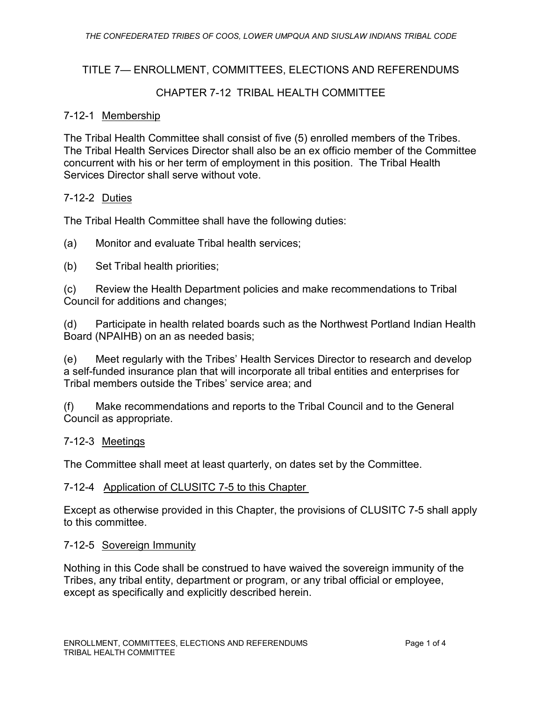## TITLE 7— ENROLLMENT, COMMITTEES, ELECTIONS AND REFERENDUMS

## CHAPTER 7-12 TRIBAL HEALTH COMMITTEE

### 7-12-1 Membership

The Tribal Health Committee shall consist of five (5) enrolled members of the Tribes. The Tribal Health Services Director shall also be an ex officio member of the Committee concurrent with his or her term of employment in this position. The Tribal Health Services Director shall serve without vote.

#### 7-12-2 Duties

The Tribal Health Committee shall have the following duties:

(a) Monitor and evaluate Tribal health services;

(b) Set Tribal health priorities;

(c) Review the Health Department policies and make recommendations to Tribal Council for additions and changes;

(d) Participate in health related boards such as the Northwest Portland Indian Health Board (NPAIHB) on an as needed basis;

(e) Meet regularly with the Tribes' Health Services Director to research and develop a self-funded insurance plan that will incorporate all tribal entities and enterprises for Tribal members outside the Tribes' service area; and

(f) Make recommendations and reports to the Tribal Council and to the General Council as appropriate.

#### 7-12-3 Meetings

The Committee shall meet at least quarterly, on dates set by the Committee.

#### 7-12-4 Application of CLUSITC 7-5 to this Chapter

Except as otherwise provided in this Chapter, the provisions of CLUSITC 7-5 shall apply to this committee.

#### 7-12-5 Sovereign Immunity

Nothing in this Code shall be construed to have waived the sovereign immunity of the Tribes, any tribal entity, department or program, or any tribal official or employee, except as specifically and explicitly described herein.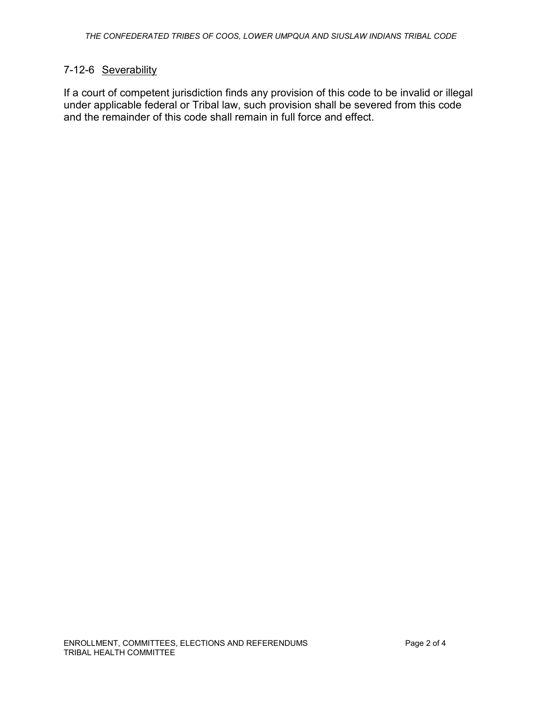## 7-12-6 Severability

If a court of competent jurisdiction finds any provision of this code to be invalid or illegal under applicable federal or Tribal law, such provision shall be severed from this code and the remainder of this code shall remain in full force and effect.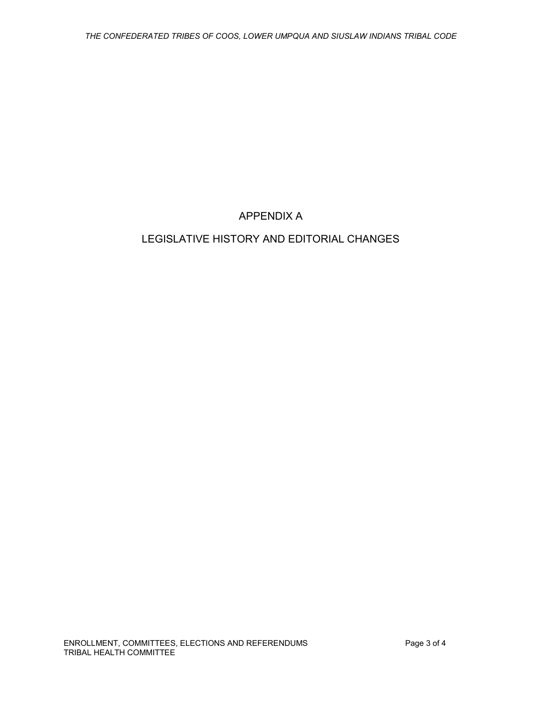# APPENDIX A

# LEGISLATIVE HISTORY AND EDITORIAL CHANGES